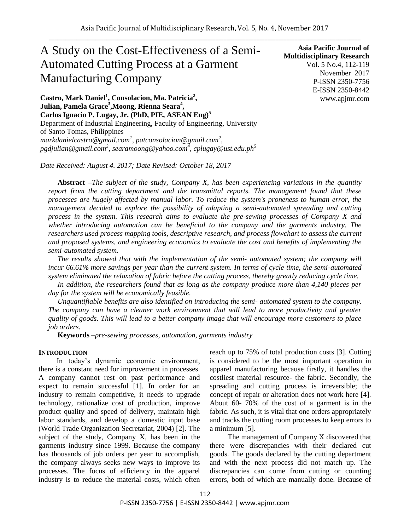# A Study on the Cost-Effectiveness of a Semi-Automated Cutting Process at a Garment Manufacturing Company

**Asia Pacific Journal of Multidisciplinary Research** Vol. 5 No.4, 112-119 November 2017 P-ISSN 2350-7756 E-ISSN 2350-8442 www.apjmr.com

**Castro, Mark Daniel<sup>1</sup> , Consolacion, Ma. Patricia<sup>2</sup> ,**   $J$ ulian, Pamela Grace<sup>3</sup>,Moong, Rienna Seara<sup>4</sup>, **Carlos Ignacio P. Lugay, Jr. (PhD, PIE, ASEAN Eng) 5** Department of Industrial Engineering, Faculty of Engineering, University of Santo Tomas, Philippines *markdanielcastro@gmail.com<sup>1</sup> , patconsolacion@gmail.com<sup>2</sup> , pgdjulian@gmail.com<sup>3</sup> , searamoong@yahoo.com<sup>4</sup> , cplugay@ust.edu.ph<sup>5</sup>*

*Date Received: August 4. 2017; Date Revised: October 18, 2017*

**Abstract** *–The subject of the study, Company X, has been experiencing variations in the quantity report from the cutting department and the transmittal reports. The management found that these processes are hugely affected by manual labor. To reduce the system's proneness to human error, the management decided to explore the possibility of adapting a semi-automated spreading and cutting process in the system. This research aims to evaluate the pre-sewing processes of Company X and whether introducing automation can be beneficial to the company and the garments industry. The researchers used process mapping tools, descriptive research, and process flowchart to assess the current and proposed systems, and engineering economics to evaluate the cost and benefits of implementing the semi-automated system.*

*The results showed that with the implementation of the semi- automated system; the company will incur 66.61% more savings per year than the current system. In terms of cycle time, the semi-automated system eliminated the relaxation of fabric before the cutting process, thereby greatly reducing cycle time.*

*In addition, the researchers found that as long as the company produce more than 4,140 pieces per day for the system will be economically feasible.*

*Unquantifiable benefits are also identified on introducing the semi- automated system to the company. The company can have a cleaner work environment that will lead to more productivity and greater quality of goods. This will lead to a better company image that will encourage more customers to place job orders.*

**Keywords** *–pre-sewing processes, automation, garments industry*

## **INTRODUCTION**

In today's dynamic economic environment, there is a constant need for improvement in processes. A company cannot rest on past performance and expect to remain successful [1]. In order for an industry to remain competitive, it needs to upgrade technology, rationalize cost of production, improve product quality and speed of delivery, maintain high labor standards, and develop a domestic input base (World Trade Organization Secretariat, 2004) [2]. The subject of the study, Company X, has been in the garments industry since 1999. Because the company has thousands of job orders per year to accomplish, the company always seeks new ways to improve its processes. The focus of efficiency in the apparel industry is to reduce the material costs, which often reach up to 75% of total production costs [3]. Cutting is considered to be the most important operation in apparel manufacturing because firstly, it handles the costliest material resource- the fabric. Secondly, the spreading and cutting process is irreversible; the concept of repair or alteration does not work here [4]. About 60- 70% of the cost of a garment is in the fabric. As such, it is vital that one orders appropriately and tracks the cutting room processes to keep errors to a minimum [5].

The management of Company X discovered that there were discrepancies with their declared cut goods. The goods declared by the cutting department and with the next process did not match up. The discrepancies can come from cutting or counting errors, both of which are manually done. Because of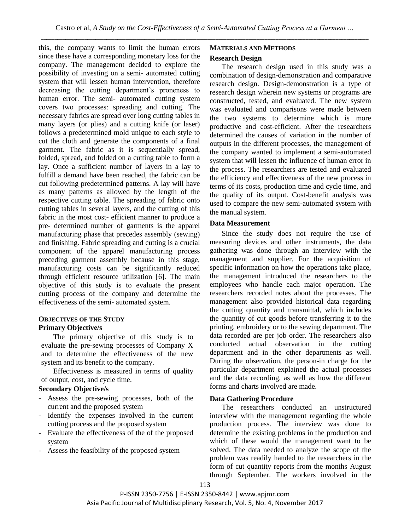this, the company wants to limit the human errors since these have a corresponding monetary loss for the company. The management decided to explore the possibility of investing on a semi- automated cutting system that will lessen human intervention, therefore decreasing the cutting department's proneness to human error. The semi- automated cutting system covers two processes: spreading and cutting. The necessary fabrics are spread over long cutting tables in many layers (or plies) and a cutting knife (or laser) follows a predetermined mold unique to each style to cut the cloth and generate the components of a final garment. The fabric as it is sequentially spread, folded, spread, and folded on a cutting table to form a lay. Once a sufficient number of layers in a lay to fulfill a demand have been reached, the fabric can be cut following predetermined patterns. A lay will have as many patterns as allowed by the length of the respective cutting table. The spreading of fabric onto cutting tables in several layers, and the cutting of this fabric in the most cost- efficient manner to produce a pre- determined number of garments is the apparel manufacturing phase that precedes assembly (sewing) and finishing. Fabric spreading and cutting is a crucial component of the apparel manufacturing process preceding garment assembly because in this stage, manufacturing costs can be significantly reduced through efficient resource utilization [6]. The main objective of this study is to evaluate the present cutting process of the company and determine the effectiveness of the semi- automated system.

## **OBJECTIVES OF THE STUDY Primary Objective/s**

The primary objective of this study is to evaluate the pre-sewing processes of Company X and to determine the effectiveness of the new system and its benefit to the company.

Effectiveness is measured in terms of quality of output, cost, and cycle time.

## **Secondary Objective/s**

- Assess the pre-sewing processes, both of the current and the proposed system
- Identify the expenses involved in the current cutting process and the proposed system
- Evaluate the effectiveness of the of the proposed system
- Assess the feasibility of the proposed system

## **MATERIALS AND METHODS**

## **Research Design**

The research design used in this study was a combination of design-demonstration and comparative research design. Design-demonstration is a type of research design wherein new systems or programs are constructed, tested, and evaluated. The new system was evaluated and comparisons were made between the two systems to determine which is more productive and cost-efficient. After the researchers determined the causes of variation in the number of outputs in the different processes, the management of the company wanted to implement a semi-automated system that will lessen the influence of human error in the process. The researchers are tested and evaluated the efficiency and effectiveness of the new process in terms of its costs, production time and cycle time, and the quality of its output. Cost-benefit analysis was used to compare the new semi-automated system with the manual system.

## **Data Measurement**

Since the study does not require the use of measuring devices and other instruments, the data gathering was done through an interview with the management and supplier. For the acquisition of specific information on how the operations take place, the management introduced the researchers to the employees who handle each major operation. The researchers recorded notes about the processes. The management also provided historical data regarding the cutting quantity and transmittal, which includes the quantity of cut goods before transferring it to the printing, embroidery or to the sewing department. The data recorded are per job order. The researchers also conducted actual observation in the cutting department and in the other departments as well. During the observation, the person-in charge for the particular department explained the actual processes and the data recording, as well as how the different forms and charts involved are made.

# **Data Gathering Procedure**

The researchers conducted an unstructured interview with the management regarding the whole production process. The interview was done to determine the existing problems in the production and which of these would the management want to be solved. The data needed to analyze the scope of the problem was readily handed to the researchers in the form of cut quantity reports from the months August through September. The workers involved in the

P-ISSN 2350-7756 | E-ISSN 2350-8442 | www.apjmr.com Asia Pacific Journal of Multidisciplinary Research, Vol. 5, No. 4, November 2017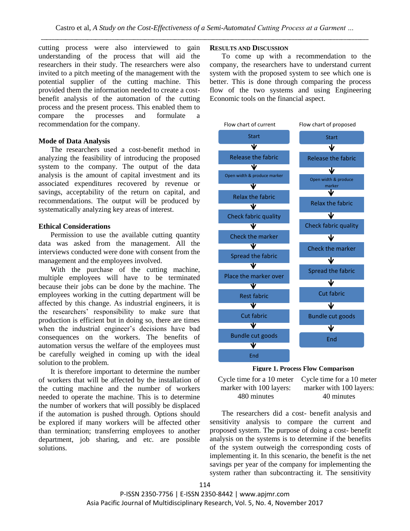cutting process were also interviewed to gain understanding of the process that will aid the researchers in their study. The researchers were also invited to a pitch meeting of the management with the potential supplier of the cutting machine. This provided them the information needed to create a costbenefit analysis of the automation of the cutting process and the present process. This enabled them to compare the processes and formulate a recommendation for the company.

## **Mode of Data Analysis**

The researchers used a cost-benefit method in analyzing the feasibility of introducing the proposed system to the company. The output of the data analysis is the amount of capital investment and its associated expenditures recovered by revenue or savings, acceptability of the return on capital, and recommendations. The output will be produced by systematically analyzing key areas of interest.

## **Ethical Considerations**

Permission to use the available cutting quantity data was asked from the management. All the interviews conducted were done with consent from the management and the employees involved.

With the purchase of the cutting machine, multiple employees will have to be terminated because their jobs can be done by the machine. The employees working in the cutting department will be affected by this change. As industrial engineers, it is the researchers' responsibility to make sure that production is efficient but in doing so, there are times when the industrial engineer's decisions have bad consequences on the workers. The benefits of automation versus the welfare of the employees must be carefully weighed in coming up with the ideal solution to the problem.

It is therefore important to determine the number of workers that will be affected by the installation of the cutting machine and the number of workers needed to operate the machine. This is to determine the number of workers that will possibly be displaced if the automation is pushed through. Options should be explored if many workers will be affected other than termination; transferring employees to another department, job sharing, and etc. are possible solutions.

## **RESULTS AND DISCUSSION**

To come up with a recommendation to the company, the researchers have to understand current system with the proposed system to see which one is better. This is done through comparing the process flow of the two systems and using Engineering Economic tools on the financial aspect.





Cycle time for a 10 meter Cycle time for a 10 meter marker with 100 layers: 480 minutes

marker with 100 layers: 40 minutes

The researchers did a cost- benefit analysis and sensitivity analysis to compare the current and proposed system. The purpose of doing a cost- benefit analysis on the systems is to determine if the benefits of the system outweigh the corresponding costs of implementing it. In this scenario, the benefit is the net savings per year of the company for implementing the system rather than subcontracting it. The sensitivity

P-ISSN 2350-7756 | E-ISSN 2350-8442 | www.apjmr.com Asia Pacific Journal of Multidisciplinary Research, Vol. 5, No. 4, November 2017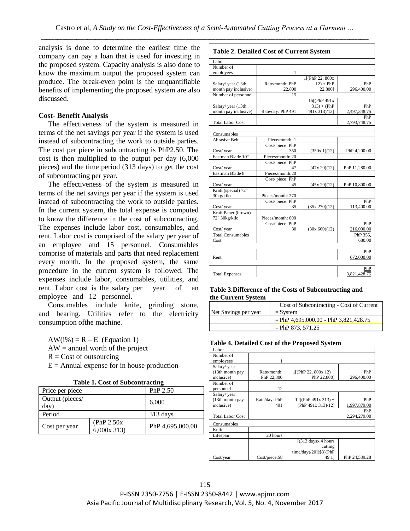$\Gamma$ 

analysis is done to determine the earliest time the company can pay a loan that is used for investing in the proposed system. Capacity analysis is also done to know the maximum output the proposed system can produce. The break-even point is the unquantifiable benefits of implementing the proposed system are also discussed.

## **Cost- Benefit Analysis**

The effectiveness of the system is measured in terms of the net savings per year if the system is used instead of subcontracting the work to outside parties. The cost per piece in subcontracting is PhP2.50. The cost is then multiplied to the output per day (6,000 pieces) and the time period (313 days) to get the cost of subcontracting per year.

The effectiveness of the system is measured in terms of the net savings per year if the system is used instead of subcontracting the work to outside parties. In the current system, the total expense is computed to know the difference in the cost of subcontracting. The expenses include labor cost, consumables, and rent. Labor cost is comprised of the salary per year of an employee and 15 personnel. Consumables comprise of materials and parts that need replacement every month. In the proposed system, the same procedure in the current system is followed. The expenses include labor, consumables, utilities, and rent. Labor cost is the salary per year of an employee and 12 personnel.

Consumables include knife, grinding stone, and bearing. Utilities refer to the electricity consumption ofthe machine.

 $AW(i\%) = R - E$  (Equation 1)  $AW = annual worth of the project$ 

 $R = Cost of outsourcing$ 

 $E =$  Annual expense for in house production

| Price per piece |                  |  |  |
|-----------------|------------------|--|--|
|                 | 6,000            |  |  |
|                 |                  |  |  |
|                 | 313 days         |  |  |
| (PhP 2.50x)     | PhP 4,695,000.00 |  |  |
|                 | $6,000x$ 313)    |  |  |

| <b>Table 2. Detailed Cost of Current System</b> |                   |                 |               |
|-------------------------------------------------|-------------------|-----------------|---------------|
| Labor                                           |                   |                 |               |
| Number of                                       |                   |                 |               |
| employees                                       | 1                 |                 |               |
|                                                 |                   | 1[(PhP 22, 800x |               |
| Salary/year (13th                               | Rate/month: PhP   | $12$ ) + PhP    | PhP           |
| month pay inclusive)                            | 22,800            | 22,800]         | 296,400.00    |
| Number of personnel                             | 15                |                 |               |
|                                                 |                   | 15[(PhP 491x    |               |
| Salary/year (13th                               |                   | $313 + (PhP)$   | PhP           |
| month pay inclusive)                            | Rate/day: PhP 491 | 491x 313)/12]   | 2,497,348.75  |
|                                                 |                   |                 | PhP           |
| <b>Total Labor Cost</b>                         |                   |                 | 2,793,748.75  |
|                                                 |                   |                 |               |
| Consumables                                     |                   |                 |               |
| <b>Abrasive Belt</b>                            | Piece/month: 1    |                 |               |
|                                                 | Cost/piece: PhP   |                 |               |
| Cost/year                                       | 350               | (350x 1)(12)    | PhP 4,200.00  |
| Eastman Blade 10"                               | Pieces/month: 20  |                 |               |
|                                                 | Cost/piece: PhP   |                 |               |
| Cost/year                                       | 47                | (47x 20)(12)    | PhP 11,280.00 |
| Eastman Blade 8"                                | Pieces/month:20   |                 |               |
|                                                 | Cost/piece: PhP   |                 |               |
| Cost/year                                       | 45                | (45x 20)(12)    | PhP 10,800.00 |
| Kraft (special) 72"                             |                   |                 |               |
| 30kg/kilo                                       | Pieces/month: 270 |                 |               |
|                                                 | Cost/piece: PhP   |                 | PhP           |
| Cost/year                                       | 35                | (35x 270)(12)   | 113,400.00    |
| Kraft Paper (brown)                             |                   |                 |               |
| 72" 30kg/kilo                                   | Pieces/month: 600 |                 |               |
|                                                 | Cost/piece: PhP   |                 | PhP           |
| Cost/year                                       | 30                | (30x 600)(12)   | 216,000.00    |
| <b>Total Consumables</b>                        |                   |                 | PhP 355,      |
| Cost                                            |                   |                 | 680.00        |
|                                                 |                   |                 |               |
|                                                 |                   |                 | PhP           |
| Rent                                            |                   |                 | 672,000.00    |
|                                                 |                   |                 |               |
|                                                 |                   |                 | $_{\rm PhP}$  |
| <b>Total Expenses</b>                           |                   |                 | 3,821,428.75  |

#### **Table 3.Difference of the Costs of Subcontracting and the Current System**

| Net Savings per year | Cost of Subcontracting - Cost of Current<br>$=$ System |
|----------------------|--------------------------------------------------------|
|                      | $=$ PhP 4,695,000.00 - PhP 3,821,428.75                |
|                      | $=$ PhP 873, 571.25                                    |

## **Table 4. Detailed Cost of the Proposed System**

| Labor                   |                |                                          |               |
|-------------------------|----------------|------------------------------------------|---------------|
| Number of               |                |                                          |               |
| employees               |                |                                          |               |
| Salary/ year            |                |                                          |               |
| (13th month pay         | Rate/month:    | $1[(PhP 22, 800x 12) +$                  | PhP           |
| inclusive)              | PhP 22,800     | PhP 22,800]                              | 296,400.00    |
| Number of               |                |                                          |               |
| personnel               | 12             |                                          |               |
| Salary/year             |                |                                          |               |
| (13th month pay         | Rate/day: PhP  | $12[(PhP 491x 313) +$                    | PhP           |
| inclusive)              | 491            | (PhP 491x 313)/12]                       | 1,997,879.00  |
|                         |                |                                          | PhP           |
| <b>Total Labor Cost</b> |                |                                          | 2,294,279.00  |
| Consumables             |                |                                          |               |
| Knife                   |                |                                          |               |
| Lifespan                | 20 hours       |                                          |               |
|                         |                | $[(313 \text{ days} x 4 \text{ hours})]$ |               |
|                         |                | cutting                                  |               |
|                         |                | time/day)/20](\$8)(PhP                   |               |
| Cost/year               | Cost/piece:\$8 | 49.1)                                    | PhP 24,589.28 |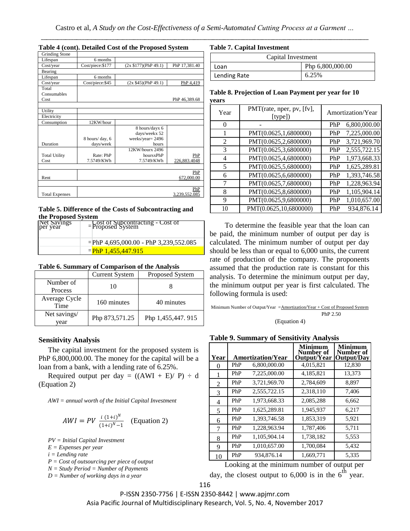#### **Table 4 (cont). Detailed Cost of the Proposed System**

| <b>Grinding Stone</b> |                  |                       |               |
|-----------------------|------------------|-----------------------|---------------|
| Lifespan              | 6 months         |                       |               |
| Cost/year             | Cost/piece:\$177 | (2x \$177)(PhP 49.1)  | PhP 17,381.40 |
| Bearing               |                  |                       |               |
| Lifespan              | 6 months         |                       |               |
| Cost/year             | Cost/piece:\$45  | $(2x $45)$ (PhP 49.1) | PhP 4,419     |
| Total                 |                  |                       |               |
| Consumables           |                  |                       |               |
| Cost                  |                  |                       | PhP 46,389.68 |
|                       |                  |                       |               |
| Utility               |                  |                       |               |
| Electricity           |                  |                       |               |
| Consumption           | 12KW/hour        |                       |               |
|                       |                  | 8 hours/dayx 6        |               |
|                       |                  | days/weekx 52         |               |
|                       | 8 hours/day, 6   | weeks/year=2496       |               |
| Duration              | days/week        | hours                 |               |
|                       |                  | 12KW/hourx 2496       |               |
| <b>Total Utility</b>  | Rate: PhP        | hoursxPhP             | PhP           |
| Cost                  | 7.5749/KWh       | 7.5749/KWh            | 226,883.4048  |
|                       |                  |                       |               |
|                       |                  |                       | PhP           |
| Rent                  |                  |                       | 672,000.00    |
|                       |                  |                       |               |
|                       |                  |                       | PhP           |
| <b>Total Expenses</b> |                  |                       | 3.239.552.085 |

#### **Table 5. Difference of the Costs of Subcontracting and the Proposed System**

| Net Savings<br>per year | <b>Cost of Subcontracting - Cost of <br/> Proposed System</b> |
|-------------------------|---------------------------------------------------------------|
|                         | = PhP 4,695,000.00 - PhP 3,239,552.085                        |
|                         | $=$ PhP 1.455.447.915                                         |

#### **Table 6. Summary of Comparison of the Analysis**

|                       | <b>Current System</b> | Proposed System   |
|-----------------------|-----------------------|-------------------|
| Number of             | 10                    |                   |
| Process               |                       |                   |
| Average Cycle<br>Time | 160 minutes           | 40 minutes        |
| Net savings/<br>vear  | Php 873,571.25        | Php 1,455,447.915 |

#### **Sensitivity Analysis**

The capital investment for the proposed system is PhP 6,800,000.00. The money for the capital will be a loan from a bank, with a lending rate of 6.25%.

Required output per day =  $((AWI + E)/P) \div d$ (Equation 2)

*AWI = annual worth of the Initial Capital Investment*

$$
AWI = PV \frac{i (1+i)^N}{(1+i)^N - 1}
$$
 (Equation 2)

*PV = Initial Capital Investment* 

*E = Expenses per year*

*i = Lending rate*

*P = Cost of outsourcing per piece of output*

*N = Study Period = Number of Payments*

*D = Number of working days in a year*

#### **Table 7. Capital Investment**

| Capital Investment |                  |  |  |
|--------------------|------------------|--|--|
| Loan               | Php 6,800,000.00 |  |  |
| Lending Rate       | 6.25%            |  |  |

#### **Table 8. Projection of Loan Payment per year for 10 years**

| Year | PMT(rate, nper, pv, [fv],<br>[type]) | Amortization/Year   |  |
|------|--------------------------------------|---------------------|--|
| 0    |                                      | 6,800,000.00<br>PhP |  |
|      | PMT(0.0625,1,6800000)                | 7,225,000.00<br>PhP |  |
| 2    | PMT(0.0625,2,6800000)                | 3,721,969.70<br>PhP |  |
| 3    | PMT(0.0625,3,6800000)                | 2,555,722.15<br>PhP |  |
| 4    | PMT(0.0625,4,6800000)                | 1,973,668.33<br>PhP |  |
| 5    | PMT(0.0625,5,6800000)                | 1,625,289.81<br>PhP |  |
| 6    | PMT(0.0625,6,6800000)                | 1,393,746.58<br>PhP |  |
| 7    | PMT(0.0625,7,6800000)                | 1,228,963.94<br>PhP |  |
| 8    | PMT(0.0625,8,6800000)                | 1,105,904.14<br>PhP |  |
| 9    | PMT(0.0625,9,6800000)                | 1,010,657.00<br>PhP |  |
| 10   | PMT(0.0625,10,6800000)               | 934,876.14<br>PhP   |  |

To determine the feasible year that the loan can be paid, the minimum number of output per day is calculated. The minimum number of output per day should be less than or equal to 6,000 units, the current rate of production of the company. The proponents assumed that the production rate is constant for this analysis. To determine the minimum output per day, the minimum output per year is first calculated. The following formula is used:

```
Minimum Number of Output/Year = Amortization/Year + Cost of Proposed System
                                                  PhP 2.50
                             (Equation 4)
```
#### **Table 9. Summary of Sensitivity Analysis**

| Year           |     | <b>Amortization/Year</b> | <b>Minimum</b><br>Number of<br>Output/Year | <b>Minimum</b><br>Number of<br>Output/Day |
|----------------|-----|--------------------------|--------------------------------------------|-------------------------------------------|
| 0              | PhP | 6,800,000.00             | 4,015,821                                  | 12,830                                    |
| 1              | PhP | 7,225,000.00             | 4,185,821                                  | 13,373                                    |
| $\overline{2}$ | PhP | 3,721,969.70             | 2,784,609                                  | 8,897                                     |
| 3              | PhP | 2,555,722.15             | 2,318,110                                  | 7,406                                     |
| 4              | PhP | 1,973,668.33             | 2,085,288                                  | 6,662                                     |
| 5              | PhP | 1,625,289.81             | 1,945,937                                  | 6,217                                     |
| 6              | PhP | 1,393,746.58             | 1,853,319                                  | 5,921                                     |
| 7              | PhP | 1,228,963.94             | 1,787,406                                  | 5,711                                     |
| 8              | PhP | 1,105,904.14             | 1,738,182                                  | 5,553                                     |
| 9              | PhP | 1,010,657.00             | 1,700,084                                  | 5,432                                     |
| 10             | PhP | 934,876.14               | 1,669,771                                  | 5,335                                     |

Looking at the minimum number of output per

day, the closest output to 6,000 is in the  $6^{\text{th}}$  year.

P-ISSN 2350-7756 | E-ISSN 2350-8442 | www.apjmr.com

Asia Pacific Journal of Multidisciplinary Research, Vol. 5, No. 4, November 2017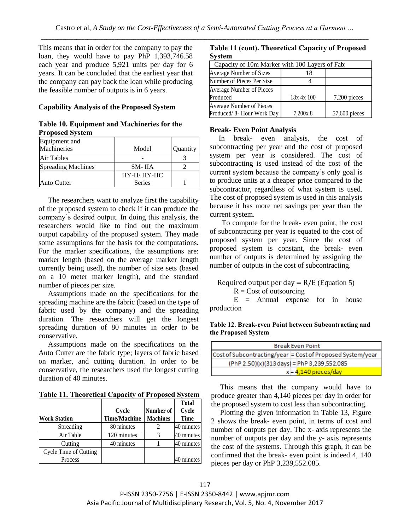This means that in order for the company to pay the loan, they would have to pay PhP 1,393,746.58 each year and produce 5,921 units per day for 6 years. It can be concluded that the earliest year that the company can pay back the loan while producing the feasible number of outputs is in 6 years.

## **Capability Analysis of the Proposed System**

#### **Table 10. Equipment and Machineries for the Proposed System**

| Equipment and             |               |          |
|---------------------------|---------------|----------|
| Machineries               | Model         | Quantity |
| Air Tables                |               |          |
| <b>Spreading Machines</b> | SM-IIA        |          |
|                           | HY-H/HY-HC    |          |
| <b>Auto Cutter</b>        | <b>Series</b> |          |

The researchers want to analyze first the capability of the proposed system to check if it can produce the company's desired output. In doing this analysis, the researchers would like to find out the maximum output capability of the proposed system. They made some assumptions for the basis for the computations. For the marker specifications, the assumptions are: marker length (based on the average marker length currently being used), the number of size sets (based on a 10 meter marker length), and the standard number of pieces per size.

Assumptions made on the specifications for the spreading machine are the fabric (based on the type of fabric used by the company) and the spreading duration. The researchers will get the longest spreading duration of 80 minutes in order to be conservative.

Assumptions made on the specifications on the Auto Cutter are the fabric type; layers of fabric based on marker, and cutting duration. In order to be conservative, the researchers used the longest cutting duration of 40 minutes.

**Table 11. Theoretical Capacity of Proposed System**

|                       |                     |                 | <b>Total</b> |
|-----------------------|---------------------|-----------------|--------------|
|                       | Cycle               | Number of       | Cycle        |
| <b>Work Station</b>   | <b>Time/Machine</b> | <b>Machines</b> | <b>Time</b>  |
| Spreading             | 80 minutes          |                 | 40 minutes   |
| Air Table             | 120 minutes         |                 | 40 minutes   |
| Cutting               | 40 minutes          |                 | 40 minutes   |
| Cycle Time of Cutting |                     |                 |              |
| Process               |                     |                 | 40 minutes   |

|        | Table 11 (cont). Theoretical Capacity of Proposed |
|--------|---------------------------------------------------|
| System |                                                   |

| Capacity of 10m Marker with 100 Layers of Fab |            |               |  |  |  |
|-----------------------------------------------|------------|---------------|--|--|--|
| Average Number of Sizes                       | 18         |               |  |  |  |
| Number of Pieces Per Size                     |            |               |  |  |  |
| Average Number of Pieces                      |            |               |  |  |  |
| Produced                                      | 18x 4x 100 | 7,200 pieces  |  |  |  |
| Average Number of Pieces                      |            |               |  |  |  |
| Produced/8- Hour Work Day                     | 7,200x 8   | 57,600 pieces |  |  |  |

## **Break- Even Point Analysis**

In break- even analysis, the cost of subcontracting per year and the cost of proposed system per year is considered. The cost of subcontracting is used instead of the cost of the current system because the company's only goal is to produce units at a cheaper price compared to the subcontractor, regardless of what system is used. The cost of proposed system is used in this analysis because it has more net savings per year than the current system.

To compute for the break- even point, the cost of subcontracting per year is equated to the cost of proposed system per year. Since the cost of proposed system is constant, the break- even number of outputs is determined by assigning the number of outputs in the cost of subcontracting.

Required output per day  $= R/E$  (Equation 5)  $R = Cost of outsourcing$ 

 $E$  = Annual expense for in house production

## **Table 12. Break-even Point between Subcontracting and the Proposed System**

| <b>Break Even Point</b>                                    |  |  |  |  |
|------------------------------------------------------------|--|--|--|--|
| Cost of Subcontracting/year = Cost of Proposed System/year |  |  |  |  |
| (PhP 2.50)(x)(313 days) = PhP 3,239,552.085                |  |  |  |  |
| $x = 4.140$ pieces/day                                     |  |  |  |  |

This means that the company would have to produce greater than 4,140 pieces per day in order for the proposed system to cost less than subcontracting.

Plotting the given information in Table 13, Figure 2 shows the break- even point, in terms of cost and number of outputs per day. The x- axis represents the number of outputs per day and the y- axis represents the cost of the systems. Through this graph, it can be confirmed that the break- even point is indeed 4, 140 pieces per day or PhP 3,239,552.085.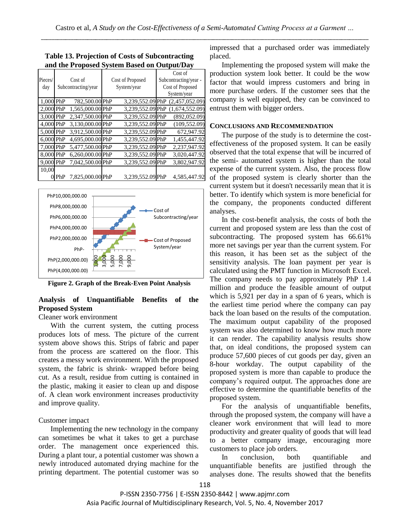| Pieces/<br>day |     | Cost of Proposed<br>Cost of<br>System/year<br>Subcontracting/year |  | Cost of<br>Subcontracting/year -<br>Cost of Proposed<br>System/year |  |                |
|----------------|-----|-------------------------------------------------------------------|--|---------------------------------------------------------------------|--|----------------|
| 1,000 PhP      |     | 782,500.00 PhP                                                    |  | 3,239,552.09 PhP                                                    |  | (2,457,052.09) |
| 2,000 PhP      |     | 1,565,000.00 PhP                                                  |  | 3,239,552.09 PhP                                                    |  | (1,674,552.09) |
| 3,000 PhP      |     | 2,347,500.00 PhP                                                  |  | 3,239,552.09 PhP                                                    |  | (892, 052.09)  |
| 4,000 PhP      |     | 3,130,000.00 PhP                                                  |  | 3,239,552.09 PhP                                                    |  | (109, 552.09)  |
| 5,000 PhP      |     | 3,912,500.00 PhP                                                  |  | 3,239,552.09 PhP                                                    |  | 672,947.92     |
| 6,000 PhP      |     | 4,695,000.00 PhP                                                  |  | 3,239,552.09 PhP                                                    |  | 1,455,447.92   |
| 7.000 PhP      |     | 5,477,500.00 PhP                                                  |  | 3,239,552.09 PhP                                                    |  | 2,237,947.92   |
| 8,000 PhP      |     | 6,260,000.00 PhP                                                  |  | 3,239,552.09 PhP                                                    |  | 3,020,447.92   |
| 9.000 PhP      |     | 7,042,500.00 PhP                                                  |  | 3,239,552.09 PhP                                                    |  | 3,802,947.92   |
| 10.00          |     |                                                                   |  |                                                                     |  |                |
|                | PhP | 7,825,000.00 PhP                                                  |  | 3,239,552.09 PhP                                                    |  | 4,585,447.92   |

## **Table 13. Projection of Costs of Subcontracting and the Proposed System Based on Output/Day**



**Figure 2. Graph of the Break-Even Point Analysis**

## **Analysis of Unquantifiable Benefits of the Proposed System**

# Cleaner work environment

With the current system, the cutting process produces lots of mess. The picture of the current system above shows this. Strips of fabric and paper from the process are scattered on the floor. This creates a messy work environment. With the proposed system, the fabric is shrink- wrapped before being cut. As a result, residue from cutting is contained in the plastic, making it easier to clean up and dispose of. A clean work environment increases productivity and improve quality.

# Customer impact

Implementing the new technology in the company can sometimes be what it takes to get a purchase order. The management once experienced this. During a plant tour, a potential customer was shown a newly introduced automated drying machine for the printing department. The potential customer was so

impressed that a purchased order was immediately placed.

Implementing the proposed system will make the production system look better. It could be the wow factor that would impress customers and bring in more purchase orders. If the customer sees that the company is well equipped, they can be convinced to entrust them with bigger orders.

## **CONCLUSIONS AND RECOMMENDATION**

The purpose of the study is to determine the costeffectiveness of the proposed system. It can be easily observed that the total expense that will be incurred of the semi- automated system is higher than the total expense of the current system. Also, the process flow of the proposed system is clearly shorter than the current system but it doesn't necessarily mean that it is better. To identify which system is more beneficial for the company, the proponents conducted different analyses.

In the cost-benefit analysis, the costs of both the current and proposed system are less than the cost of subcontracting. The proposed system has 66.61% more net savings per year than the current system. For this reason, it has been set as the subject of the sensitivity analysis. The loan payment per year is calculated using the PMT function in Microsoft Excel. The company needs to pay approximately PhP 1.4 million and produce the feasible amount of output which is 5,921 per day in a span of 6 years, which is the earliest time period where the company can pay back the loan based on the results of the computation. The maximum output capability of the proposed system was also determined to know how much more it can render. The capability analysis results show that, on ideal conditions, the proposed system can produce 57,600 pieces of cut goods per day, given an 8-hour workday. The output capability of the proposed system is more than capable to produce the company's required output. The approaches done are effective to determine the quantifiable benefits of the proposed system.

For the analysis of unquantifiable benefits, through the proposed system, the company will have a cleaner work environment that will lead to more productivity and greater quality of goods that will lead to a better company image, encouraging more customers to place job orders.

In conclusion, both quantifiable and unquantifiable benefits are justified through the analyses done. The results showed that the benefits